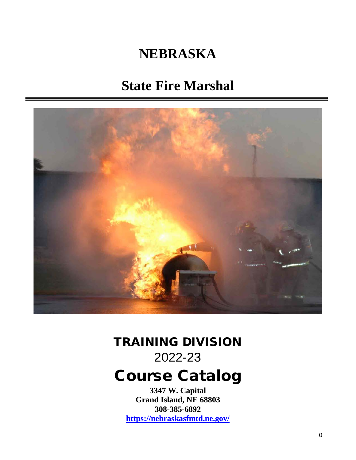# **NEBRASKA**

# **State Fire Marshal**



# TRAINING DIVISION 2022-23

# Course Catalog

**3347 W. Capital Grand Island, NE 68803 308-385-6892 https://nebraskasfmtd.ne.gov/**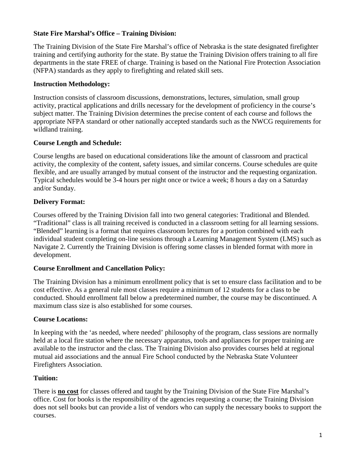#### **State Fire Marshal's Office – Training Division:**

The Training Division of the State Fire Marshal's office of Nebraska is the state designated firefighter training and certifying authority for the state. By statue the Training Division offers training to all fire departments in the state FREE of charge. Training is based on the National Fire Protection Association (NFPA) standards as they apply to firefighting and related skill sets.

#### **Instruction Methodology:**

Instruction consists of classroom discussions, demonstrations, lectures, simulation, small group activity, practical applications and drills necessary for the development of proficiency in the course's subject matter. The Training Division determines the precise content of each course and follows the appropriate NFPA standard or other nationally accepted standards such as the NWCG requirements for wildland training.

#### **Course Length and Schedule:**

Course lengths are based on educational considerations like the amount of classroom and practical activity, the complexity of the content, safety issues, and similar concerns. Course schedules are quite flexible, and are usually arranged by mutual consent of the instructor and the requesting organization. Typical schedules would be 3-4 hours per night once or twice a week; 8 hours a day on a Saturday and/or Sunday.

### **Delivery Format:**

Courses offered by the Training Division fall into two general categories: Traditional and Blended. "Traditional" class is all training received is conducted in a classroom setting for all learning sessions. "Blended" learning is a format that requires classroom lectures for a portion combined with each individual student completing on-line sessions through a Learning Management System (LMS) such as Navigate 2. Currently the Training Division is offering some classes in blended format with more in development.

#### **Course Enrollment and Cancellation Policy:**

The Training Division has a minimum enrollment policy that is set to ensure class facilitation and to be cost effective. As a general rule most classes require a minimum of 12 students for a class to be conducted. Should enrollment fall below a predetermined number, the course may be discontinued. A maximum class size is also established for some courses.

#### **Course Locations:**

In keeping with the 'as needed, where needed' philosophy of the program, class sessions are normally held at a local fire station where the necessary apparatus, tools and appliances for proper training are available to the instructor and the class. The Training Division also provides courses held at regional mutual aid associations and the annual Fire School conducted by the Nebraska State Volunteer Firefighters Association.

### **Tuition:**

There is **no cost** for classes offered and taught by the Training Division of the State Fire Marshal's office. Cost for books is the responsibility of the agencies requesting a course; the Training Division does not sell books but can provide a list of vendors who can supply the necessary books to support the courses.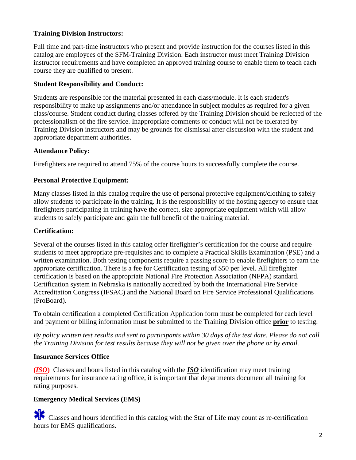#### **Training Division Instructors:**

Full time and part-time instructors who present and provide instruction for the courses listed in this catalog are employees of the SFM-Training Division. Each instructor must meet Training Division instructor requirements and have completed an approved training course to enable them to teach each course they are qualified to present.

#### **Student Responsibility and Conduct:**

Students are responsible for the material presented in each class/module. It is each student's responsibility to make up assignments and/or attendance in subject modules as required for a given class/course. Student conduct during classes offered by the Training Division should be reflected of the professionalism of the fire service. Inappropriate comments or conduct will not be tolerated by Training Division instructors and may be grounds for dismissal after discussion with the student and appropriate department authorities.

#### **Attendance Policy:**

Firefighters are required to attend 75% of the course hours to successfully complete the course.

#### **Personal Protective Equipment:**

Many classes listed in this catalog require the use of personal protective equipment/clothing to safely allow students to participate in the training. It is the responsibility of the hosting agency to ensure that firefighters participating in training have the correct, size appropriate equipment which will allow students to safely participate and gain the full benefit of the training material.

#### **Certification:**

Several of the courses listed in this catalog offer firefighter's certification for the course and require students to meet appropriate pre-requisites and to complete a Practical Skills Examination (PSE) and a written examination. Both testing components require a passing score to enable firefighters to earn the appropriate certification. There is a fee for Certification testing of \$50 per level. All firefighter certification is based on the appropriate National Fire Protection Association (NFPA) standard. Certification system in Nebraska is nationally accredited by both the International Fire Service Accreditation Congress (IFSAC) and the National Board on Fire Service Professional Qualifications (ProBoard).

To obtain certification a completed Certification Application form must be completed for each level and payment or billing information must be submitted to the Training Division office **prior** to testing.

*By policy written test results and sent to participants within 30 days of the test date. Please do not call the Training Division for test results because they will not be given over the phone or by email.* 

#### **Insurance Services Office**

**(***ISO***)** Classes and hours listed in this catalog with the *ISO* identification may meet training requirements for insurance rating office, it is important that departments document all training for rating purposes.

### **Emergency Medical Services (EMS)**

 Classes and hours identified in this catalog with the Star of Life may count as re-certification hours for EMS qualifications.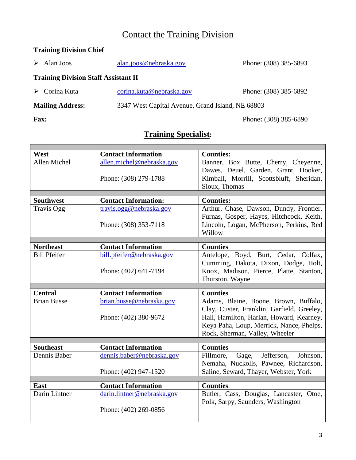# Contact the Training Division

# **Training Division Chief**

|                                             | $\triangleright$ Alan Joos   | alan.joos@nebraska.gov                           | Phone: (308) 385-6893 |  |  |
|---------------------------------------------|------------------------------|--------------------------------------------------|-----------------------|--|--|
| <b>Training Division Staff Assistant II</b> |                              |                                                  |                       |  |  |
|                                             | $\triangleright$ Corina Kuta | corina.kuta@nebraska.gov                         | Phone: (308) 385-6892 |  |  |
| <b>Mailing Address:</b>                     |                              | 3347 West Capital Avenue, Grand Island, NE 68803 |                       |  |  |

**Fax:** Phone**:** (308) 385-6890

# **Training Specialist:**

| West                | <b>Contact Information</b>  | <b>Counties:</b>                             |
|---------------------|-----------------------------|----------------------------------------------|
| Allen Michel        | allen.michel@nebraska.gov   | Banner, Box Butte, Cherry, Cheyenne,         |
|                     |                             | Dawes, Deuel, Garden, Grant, Hooker,         |
|                     | Phone: (308) 279-1788       | Kimball, Morrill, Scottsbluff, Sheridan,     |
|                     |                             | Sioux, Thomas                                |
|                     |                             |                                              |
| <b>Southwest</b>    | <b>Contact Information:</b> | <b>Counties:</b>                             |
| <b>Travis Ogg</b>   | travis.ogg@nebraska.gov     | Arthur, Chase, Dawson, Dundy, Frontier,      |
|                     |                             | Furnas, Gosper, Hayes, Hitchcock, Keith,     |
|                     | Phone: (308) 353-7118       | Lincoln, Logan, McPherson, Perkins, Red      |
|                     |                             | Willow                                       |
|                     |                             |                                              |
| <b>Northeast</b>    | <b>Contact Information</b>  | <b>Counties</b>                              |
| <b>Bill Pfeifer</b> | bill.pfeifer@nebraska.gov   | Antelope, Boyd, Burt, Cedar, Colfax,         |
|                     |                             | Cumming, Dakota, Dixon, Dodge, Holt,         |
|                     | Phone: (402) 641-7194       | Knox, Madison, Pierce, Platte, Stanton,      |
|                     |                             | Thurston, Wayne                              |
|                     |                             |                                              |
|                     |                             |                                              |
| <b>Central</b>      | <b>Contact Information</b>  | <b>Counties</b>                              |
| <b>Brian Busse</b>  | brian.busse@nebraska.gov    | Adams, Blaine, Boone, Brown, Buffalo,        |
|                     |                             | Clay, Custer, Franklin, Garfield, Greeley,   |
|                     | Phone: (402) 380-9672       | Hall, Hamilton, Harlan, Howard, Kearney,     |
|                     |                             | Keya Paha, Loup, Merrick, Nance, Phelps,     |
|                     |                             | Rock, Sherman, Valley, Wheeler               |
|                     |                             |                                              |
| <b>Southeast</b>    | <b>Contact Information</b>  | <b>Counties</b>                              |
| Dennis Baber        | dennis.baber@nebraska.gov   | Jefferson,<br>Fillmore,<br>Gage,<br>Johnson. |
|                     |                             | Nemaha, Nuckolls, Pawnee, Richardson,        |
|                     | Phone: (402) 947-1520       | Saline, Seward, Thayer, Webster, York        |
|                     |                             |                                              |
| East                | <b>Contact Information</b>  | <b>Counties</b>                              |
| Darin Lintner       | darin.lintner@nebraska.gov  | Butler, Cass, Douglas, Lancaster, Otoe,      |
|                     |                             | Polk, Sarpy, Saunders, Washington            |
|                     | Phone: (402) 269-0856       |                                              |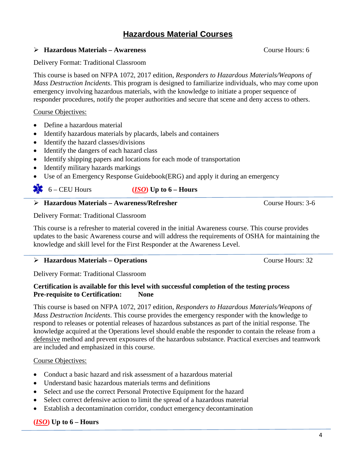# **Hazardous Material Courses**

#### **Hazardous Materials – Awareness** Course Hours: 6

#### Delivery Format: Traditional Classroom

This course is based on NFPA 1072, 2017 edition, *Responders to Hazardous Materials/Weapons of Mass Destruction Incidents*. This program is designed to familiarize individuals, who may come upon emergency involving hazardous materials, with the knowledge to initiate a proper sequence of responder procedures, notify the proper authorities and secure that scene and deny access to others.

#### Course Objectives:

- Define a hazardous material
- Identify hazardous materials by placards, labels and containers
- Identify the hazard classes/divisions
- Identify the dangers of each hazard class
- Identify shipping papers and locations for each mode of transportation
- Identify military hazards markings
- Use of an Emergency Response Guidebook(ERG) and apply it during an emergency

### 6 – CEU Hours **(***ISO***) Up to 6 – Hours**

#### **Hazardous Materials – Awareness/Refresher** Course Hours: 3-6

Delivery Format: Traditional Classroom

This course is a refresher to material covered in the initial Awareness course. This course provides updates to the basic Awareness course and will address the requirements of OSHA for maintaining the knowledge and skill level for the First Responder at the Awareness Level.

#### ▶ <b>Hazardous Materials – Operations</b> \n<math display="inline">\triangleright</math> \n<b>Hazardous Materials – Operations</b>

Delivery Format: Traditional Classroom

#### **Certification is available for this level with successful completion of the testing process Pre-requisite to Certification: None**

This course is based on NFPA 1072, 2017 edition, *Responders to Hazardous Materials/Weapons of Mass Destruction Incidents*. This course provides the emergency responder with the knowledge to respond to releases or potential releases of hazardous substances as part of the initial response. The knowledge acquired at the Operations level should enable the responder to contain the release from a defensive method and prevent exposures of the hazardous substance. Practical exercises and teamwork are included and emphasized in this course.

#### Course Objectives:

- Conduct a basic hazard and risk assessment of a hazardous material
- Understand basic hazardous materials terms and definitions
- Select and use the correct Personal Protective Equipment for the hazard
- Select correct defensive action to limit the spread of a hazardous material
- Establish a decontamination corridor, conduct emergency decontamination

#### **(***ISO***) Up to 6 – Hours**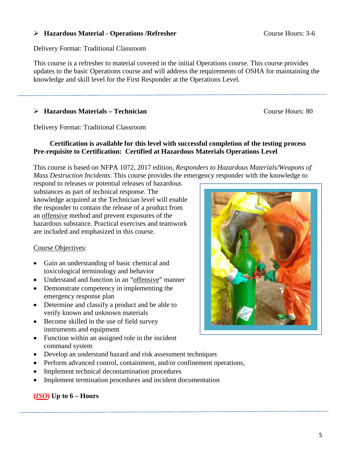#### ▶ Hazardous Material - Operations /Refresher Course Hours: 3-6

Delivery Format: Traditional Classroom

This course is a refresher to material covered in the initial Operations course. This course provides updates to the basic Operations course and will address the requirements of OSHA for maintaining the knowledge and skill level for the First Responder at the Operations Level.

#### → **Hazardous Materials – Technician** Course Hours: 80

Delivery Format: Traditional Classroom

#### **Certification is available for this level with successful completion of the testing process Pre-requisite to Certification: Certified at Hazardous Materials Operations Level**

This course is based on NFPA 1072, 2017 edition, *Responders to Hazardous Materials/Weapons of Mass Destruction Incidents*. This course provides the emergency responder with the knowledge to

respond to releases or potential releases of hazardous substances as part of technical response. The knowledge acquired at the Technician level will enable the responder to contain the release of a product from an offensive method and prevent exposures of the hazardous substance. Practical exercises and teamwork are included and emphasized in this course.

#### Course Objectives:

- Gain an understanding of basic chemical and toxicological terminology and behavior
- Understand and function in an "offensive" manner
- Demonstrate competency in implementing the emergency response plan
- Determine and classify a product and be able to verify known and unknown materials
- Become skilled in the use of field survey instruments and equipment
- Function within an assigned role in the incident command system
- Develop an understand hazard and risk assessment techniques
- Perform advanced control, containment, and/or confinement operations,
- Implement technical decontamination procedures
- Implement termination procedures and incident documentation

### **(***ISO***) Up to 6 – Hours**

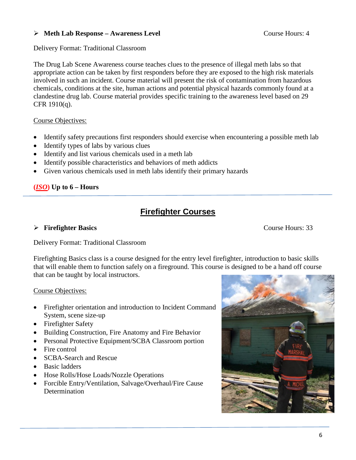#### **Meth Lab Response – Awareness Level** Course Hours: 4

#### Delivery Format: Traditional Classroom

The Drug Lab Scene Awareness course teaches clues to the presence of illegal meth labs so that appropriate action can be taken by first responders before they are exposed to the high risk materials involved in such an incident. Course material will present the risk of contamination from hazardous chemicals, conditions at the site, human actions and potential physical hazards commonly found at a clandestine drug lab. Course material provides specific training to the awareness level based on 29 CFR 1910(q).

#### Course Objectives:

- Identify safety precautions first responders should exercise when encountering a possible meth lab
- Identify types of labs by various clues
- Identify and list various chemicals used in a meth lab
- Identify possible characteristics and behaviors of meth addicts
- Given various chemicals used in meth labs identify their primary hazards

### **(***ISO***) Up to 6 – Hours**

# **Firefighter Courses**

#### **Firefighter Basics** Course Hours: 33

Delivery Format: Traditional Classroom

Firefighting Basics class is a course designed for the entry level firefighter, introduction to basic skills that will enable them to function safely on a fireground. This course is designed to be a hand off course that can be taught by local instructors.

#### Course Objectives:

- Firefighter orientation and introduction to Incident Command System, scene size-up
- Firefighter Safety
- Building Construction, Fire Anatomy and Fire Behavior
- Personal Protective Equipment/SCBA Classroom portion
- Fire control
- SCBA-Search and Rescue
- Basic ladders
- Hose Rolls/Hose Loads/Nozzle Operations
- Forcible Entry/Ventilation, Salvage/Overhaul/Fire Cause **Determination**

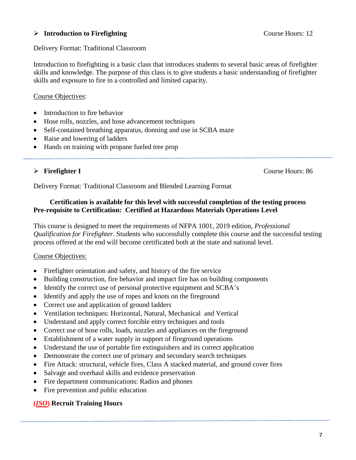#### **Introduction to Firefighting** Course Hours: 12

Delivery Format: Traditional Classroom

Introduction to firefighting is a basic class that introduces students to several basic areas of firefighter skills and knowledge. The purpose of this class is to give students a basic understanding of firefighter skills and exposure to fire in a controlled and limited capacity.

#### Course Objectives:

- Introduction to fire behavior
- Hose rolls, nozzles, and hose advancement techniques
- Self-contained breathing apparatus, donning and use in SCBA maze
- Raise and lowering of ladders
- Hands on training with propane fueled tree prop

#### **Firefighter I** Course Hours: 86

Delivery Format: Traditional Classroom and Blended Learning Format

#### **Certification is available for this level with successful completion of the testing process Pre-requisite to Certification: Certified at Hazardous Materials Operations Level**

This course is designed to meet the requirements of NFPA 1001, 2019 edition, *Professional Qualification for Firefighter*. Students who successfully complete this course and the successful testing process offered at the end will become certificated both at the state and national level.

#### Course Objectives:

- Firefighter orientation and safety, and history of the fire service
- Building construction, fire behavior and impact fire has on building components
- Identify the correct use of personal protective equipment and SCBA's
- Identify and apply the use of ropes and knots on the fireground
- Correct use and application of ground ladders
- Ventilation techniques: Horizontal, Natural, Mechanical and Vertical
- Understand and apply correct forcible entry techniques and tools
- Correct use of hose rolls, loads, nozzles and appliances on the fireground
- Establishment of a water supply in support of fireground operations
- Understand the use of portable fire extinguishers and its correct application
- Demonstrate the correct use of primary and secondary search techniques
- Fire Attack: structural, vehicle fires, Class A stacked material, and ground cover fires
- Salvage and overhaul skills and evidence preservation
- Fire department communications: Radios and phones
- Fire prevention and public education

#### **(***ISO***) Recruit Training Hours**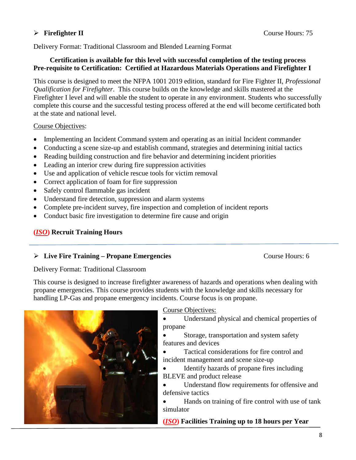#### **Firefighter II** Course Hours: 75

Delivery Format: Traditional Classroom and Blended Learning Format

#### **Certification is available for this level with successful completion of the testing process Pre-requisite to Certification: Certified at Hazardous Materials Operations and Firefighter I**

This course is designed to meet the NFPA 1001 2019 edition, standard for Fire Fighter II, *Professional Qualification for Firefighter*. This course builds on the knowledge and skills mastered at the Firefighter I level and will enable the student to operate in any environment. Students who successfully complete this course and the successful testing process offered at the end will become certificated both at the state and national level.

Course Objectives:

- Implementing an Incident Command system and operating as an initial Incident commander
- Conducting a scene size-up and establish command, strategies and determining initial tactics
- Reading building construction and fire behavior and determining incident priorities
- Leading an interior crew during fire suppression activities
- Use and application of vehicle rescue tools for victim removal
- Correct application of foam for fire suppression
- Safely control flammable gas incident
- Understand fire detection, suppression and alarm systems
- Complete pre-incident survey, fire inspection and completion of incident reports
- Conduct basic fire investigation to determine fire cause and origin

#### **(***ISO***) Recruit Training Hours**

#### **Live Fire Training – Propane Emergencies** Course Hours: 6

Delivery Format: Traditional Classroom

This course is designed to increase firefighter awareness of hazards and operations when dealing with propane emergencies. This course provides students with the knowledge and skills necessary for handling LP-Gas and propane emergency incidents. Course focus is on propane.



Course Objectives:

• Understand physical and chemical properties of propane

• Storage, transportation and system safety features and devices

• Tactical considerations for fire control and incident management and scene size-up

• Identify hazards of propane fires including BLEVE and product release

• Understand flow requirements for offensive and defensive tactics

• Hands on training of fire control with use of tank simulator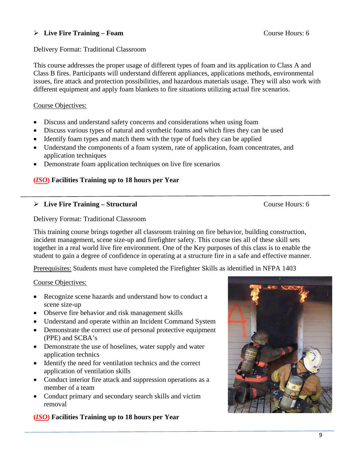#### **Live Fire Training – Foam** Course Hours: 6

#### Delivery Format: Traditional Classroom

This course addresses the proper usage of different types of foam and its application to Class A and Class B fires. Participants will understand different appliances, applications methods, environmental issues, fire attack and protection possibilities, and hazardous materials usage. They will also work with different equipment and apply foam blankets to fire situations utilizing actual fire scenarios.

#### Course Objectives:

- Discuss and understand safety concerns and considerations when using foam
- Discuss various types of natural and synthetic foams and which fires they can be used
- Identify foam types and match them with the type of fuels they can be applied
- Understand the components of a foam system, rate of application, foam concentrates, and application techniques
- Demonstrate foam application techniques on live fire scenarios

#### **(***ISO***) Facilities Training up to 18 hours per Year**

#### **Live Fire Training – Structural** Course Hours: 6

Delivery Format: Traditional Classroom

This training course brings together all classroom training on fire behavior, building construction, incident management, scene size-up and firefighter safety. This course ties all of these skill sets together in a real world live fire environment. One of the Key purposes of this class is to enable the student to gain a degree of confidence in operating at a structure fire in a safe and effective manner.

Prerequisites: Students must have completed the Firefighter Skills as identified in NFPA 1403

#### Course Objectives:

- Recognize scene hazards and understand how to conduct a scene size-up
- Observe fire behavior and risk management skills
- Understand and operate within an Incident Command System
- Demonstrate the correct use of personal protective equipment (PPE) and SCBA's
- Demonstrate the use of hoselines, water supply and water application technics
- Identify the need for ventilation technics and the correct application of ventilation skills
- Conduct interior fire attack and suppression operations as a member of a team
- Conduct primary and secondary search skills and victim removal

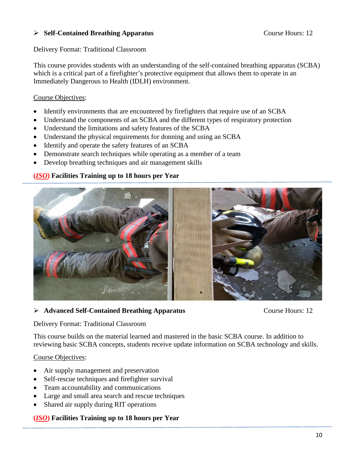#### **Self-Contained Breathing Apparatus** Course Hours: 12

Delivery Format: Traditional Classroom

This course provides students with an understanding of the self-contained breathing apparatus (SCBA) which is a critical part of a firefighter's protective equipment that allows them to operate in an Immediately Dangerous to Health (IDLH) environment.

#### Course Objectives:

- Identify environments that are encountered by firefighters that require use of an SCBA
- Understand the components of an SCBA and the different types of respiratory protection
- Understand the limitations and safety features of the SCBA
- Understand the physical requirements for donning and using an SCBA
- Identify and operate the safety features of an SCBA
- Demonstrate search techniques while operating as a member of a team
- Develop breathing techniques and air management skills

#### **(***ISO***) Facilities Training up to 18 hours per Year**



#### **Advanced Self-Contained Breathing Apparatus** Course Hours: 12

Delivery Format: Traditional Classroom

This course builds on the material learned and mastered in the basic SCBA course. In addition to reviewing basic SCBA concepts, students receive update information on SCBA technology and skills.

#### Course Objectives:

- Air supply management and preservation
- Self-rescue techniques and firefighter survival
- Team accountability and communications
- Large and small area search and rescue techniques
- Shared air supply during RIT operations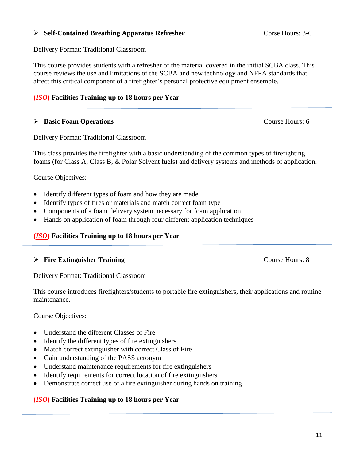#### **Self-Contained Breathing Apparatus Refresher** Corse Hours: 3-6

Delivery Format: Traditional Classroom

This course provides students with a refresher of the material covered in the initial SCBA class. This course reviews the use and limitations of the SCBA and new technology and NFPA standards that affect this critical component of a firefighter's personal protective equipment ensemble.

#### **(***ISO***) Facilities Training up to 18 hours per Year**

#### **Basic Foam Operations** Course Hours: 6

Delivery Format: Traditional Classroom

This class provides the firefighter with a basic understanding of the common types of firefighting foams (for Class A, Class B, & Polar Solvent fuels) and delivery systems and methods of application.

#### Course Objectives:

- Identify different types of foam and how they are made
- Identify types of fires or materials and match correct foam type
- Components of a foam delivery system necessary for foam application
- Hands on application of foam through four different application techniques

#### **(***ISO***) Facilities Training up to 18 hours per Year**

#### **Fire Extinguisher Training** Course Hours: 8

Delivery Format: Traditional Classroom

This course introduces firefighters/students to portable fire extinguishers, their applications and routine maintenance.

#### Course Objectives:

- Understand the different Classes of Fire
- Identify the different types of fire extinguishers
- Match correct extinguisher with correct Class of Fire
- Gain understanding of the PASS acronym
- Understand maintenance requirements for fire extinguishers
- Identify requirements for correct location of fire extinguishers
- Demonstrate correct use of a fire extinguisher during hands on training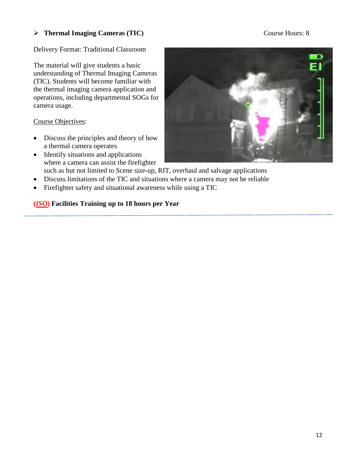### **Thermal Imaging Cameras (TIC)** Course Hours: 8

#### Delivery Format: Traditional Classroom

The material will give students a basic understanding of Thermal Imaging Cameras (TIC). Students will become familiar with the thermal imaging camera application and operations, including departmental SOGs for camera usage.

Course Objectives:

- Discuss the principles and theory of how a thermal camera operates
- Identify situations and applications where a camera can assist the firefighter such as but not limited to Scene size-up, RIT, overhaul and salvage applications
- Discuss limitations of the TIC and situations where a camera may not be reliable
- Firefighter safety and situational awareness while using a TIC

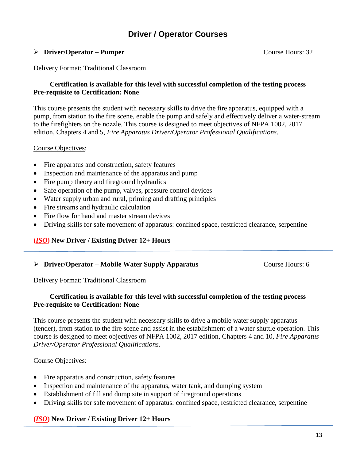# **Driver / Operator Courses**

#### **Driver/Operator – Pumper** Course Hours: 32

Delivery Format: Traditional Classroom

#### **Certification is available for this level with successful completion of the testing process Pre-requisite to Certification: None**

This course presents the student with necessary skills to drive the fire apparatus, equipped with a pump, from station to the fire scene, enable the pump and safely and effectively deliver a water-stream to the firefighters on the nozzle. This course is designed to meet objectives of NFPA 1002, 2017 edition, Chapters 4 and 5, *Fire Apparatus Driver/Operator Professional Qualifications*.

#### Course Objectives:

- Fire apparatus and construction, safety features
- Inspection and maintenance of the apparatus and pump
- Fire pump theory and fireground hydraulics
- Safe operation of the pump, valves, pressure control devices
- Water supply urban and rural, priming and drafting principles
- Fire streams and hydraulic calculation
- Fire flow for hand and master stream devices
- Driving skills for safe movement of apparatus: confined space, restricted clearance, serpentine

#### **(***ISO***) New Driver / Existing Driver 12+ Hours**

#### **Driver/Operator – Mobile Water Supply Apparatus Course Hours: 6**

Delivery Format: Traditional Classroom

#### **Certification is available for this level with successful completion of the testing process Pre-requisite to Certification: None**

This course presents the student with necessary skills to drive a mobile water supply apparatus (tender), from station to the fire scene and assist in the establishment of a water shuttle operation. This course is designed to meet objectives of NFPA 1002, 2017 edition, Chapters 4 and 10, *Fire Apparatus Driver/Operator Professional Qualifications*.

#### Course Objectives:

- Fire apparatus and construction, safety features
- Inspection and maintenance of the apparatus, water tank, and dumping system
- Establishment of fill and dump site in support of fireground operations
- Driving skills for safe movement of apparatus: confined space, restricted clearance, serpentine

#### **(***ISO***) New Driver / Existing Driver 12+ Hours**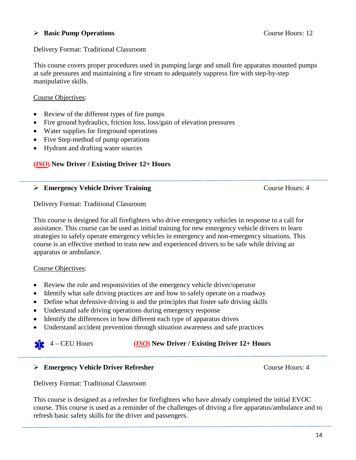#### **Basic Pump Operations** Course Hours: 12

#### Delivery Format: Traditional Classroom

This course covers proper procedures used in pumping large and small fire apparatus mounted pumps at safe pressures and maintaining a fire stream to adequately suppress fire with step-by-step manipulative skills.

#### Course Objectives:

- Review of the different types of fire pumps
- Fire ground hydraulics, friction loss, loss/gain of elevation pressures
- Water supplies for fireground operations
- Five Step-method of pump operations
- Hydrant and drafting water sources

### **(***ISO***) New Driver / Existing Driver 12+ Hours**

#### **Emergency Vehicle Driver Training Course Hours: 4** Course Hours: 4

Delivery Format: Traditional Classroom

This course is designed for all firefighters who drive emergency vehicles in response to a call for assistance. This course can be used as initial training for new emergency vehicle drivers to learn strategies to safely operate emergency vehicles in emergency and non-emergency situations. This course is an effective method to train new and experienced drivers to be safe while driving an apparatus or ambulance.

#### Course Objectives:

- Review the role and responsivities of the emergency vehicle driver/operator
- Identify what safe driving practices are and how to safely operate on a roadway
- Define what defensive driving is and the principles that foster safe driving skills
- Understand safe driving operations during emergency response
- Identify the differences in how different each type of apparatus drives
- Understand accident prevention through situation awareness and safe practices

### 4 – CEU Hours **(***ISO***) New Driver / Existing Driver 12+ Hours**

#### **Emergency Vehicle Driver Refresher** Course Hours: 4

Delivery Format: Traditional Classroom

This course is designed as a refresher for firefighters who have already completed the initial EVOC course. This course is used as a reminder of the challenges of driving a fire apparatus/ambulance and to refresh basic safety skills for the driver and passengers.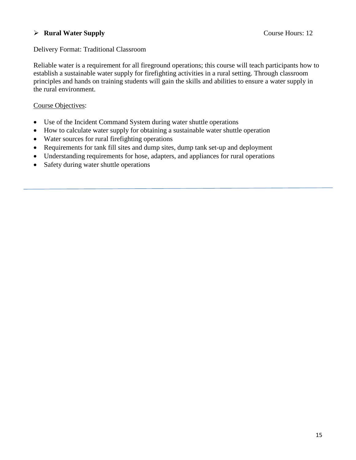#### **Example 12 Rural Water Supply** Course Hours: 12

#### Delivery Format: Traditional Classroom

Reliable water is a requirement for all fireground operations; this course will teach participants how to establish a sustainable water supply for firefighting activities in a rural setting. Through classroom principles and hands on training students will gain the skills and abilities to ensure a water supply in the rural environment.

#### Course Objectives:

- Use of the Incident Command System during water shuttle operations
- How to calculate water supply for obtaining a sustainable water shuttle operation
- Water sources for rural firefighting operations
- Requirements for tank fill sites and dump sites, dump tank set-up and deployment
- Understanding requirements for hose, adapters, and appliances for rural operations
- Safety during water shuttle operations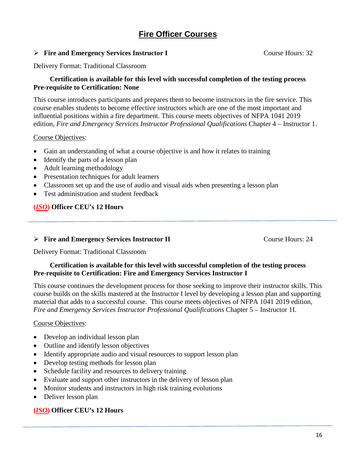# **Fire Officer Courses**

#### **Fire and Emergency Services Instructor I** Course Hours: 32

Delivery Format: Traditional Classroom

#### **Certification is available for this level with successful completion of the testing process Pre-requisite to Certification: None**

This course introduces participants and prepares them to become instructors in the fire service. This course enables students to become effective instructors which are one of the most important and influential positions within a fire department. This course meets objectives of NFPA 1041 2019 edition, *Fire and Emergency Services Instructor Professional Qualifications* Chapter 4 – Instructor 1.

#### Course Objectives:

- Gain an understanding of what a course objective is and how it relates to training
- Identify the parts of a lesson plan
- Adult learning methodology
- Presentation techniques for adult learners
- Classroom set up and the use of audio and visual aids when presenting a lesson plan
- Test administration and student feedback

#### **(***ISO***) Officer CEU's 12 Hours**

#### **►** Fire and Emergency Services Instructor II Course Hours: 24

Delivery Format: Traditional Classroom

#### **Certification is available for this level with successful completion of the testing process Pre-requisite to Certification: Fire and Emergency Services Instructor I**

This course continues the development process for those seeking to improve their instructor skills. This course builds on the skills mastered at the Instructor I level by developing a lesson plan and supporting material that adds to a successful course. This course meets objectives of NFPA 1041 2019 edition, *Fire and Emergency Services Instructor Professional Qualifications* Chapter 5 – Instructor 1I.

#### Course Objectives:

- Develop an individual lesson plan
- Outline and identify lesson objectives
- Identify appropriate audio and visual resources to support lesson plan
- Develop testing methods for lesson plan
- Schedule facility and resources to delivery training
- Evaluate and support other instructors in the delivery of lesson plan
- Monitor students and instructors in high risk training evolutions
- Deliver lesson plan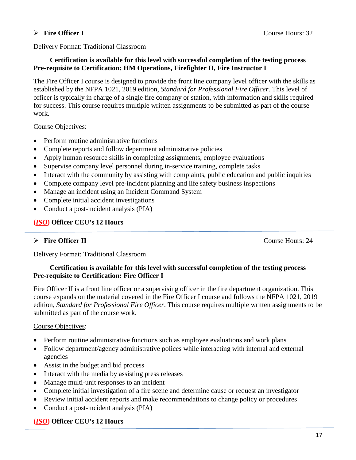#### **Fire Officer I** Course Hours: 32

Delivery Format: Traditional Classroom

#### **Certification is available for this level with successful completion of the testing process Pre-requisite to Certification: HM Operations, Firefighter II, Fire Instructor I**

The Fire Officer I course is designed to provide the front line company level officer with the skills as established by the NFPA 1021, 2019 edition, *Standard for Professional Fire Officer*. This level of officer is typically in charge of a single fire company or station, with information and skills required for success. This course requires multiple written assignments to be submitted as part of the course work.

#### Course Objectives:

- Perform routine administrative functions
- Complete reports and follow department administrative policies
- Apply human resource skills in completing assignments, employee evaluations
- Supervise company level personnel during in-service training, complete tasks
- Interact with the community by assisting with complaints, public education and public inquiries
- Complete company level pre-incident planning and life safety business inspections
- Manage an incident using an Incident Command System
- Complete initial accident investigations
- Conduct a post-incident analysis (PIA)

### **(***ISO***) Officer CEU's 12 Hours**

### **Fire Officer II** Course Hours: 24

Delivery Format: Traditional Classroom

#### **Certification is available for this level with successful completion of the testing process Pre-requisite to Certification: Fire Officer I**

Fire Officer II is a front line officer or a supervising officer in the fire department organization. This course expands on the material covered in the Fire Officer I course and follows the NFPA 1021, 2019 edition, *Standard for Professional Fire Officer*. This course requires multiple written assignments to be submitted as part of the course work.

#### Course Objectives:

- Perform routine administrative functions such as employee evaluations and work plans
- Follow department/agency administrative polices while interacting with internal and external agencies
- Assist in the budget and bid process
- Interact with the media by assisting press releases
- Manage multi-unit responses to an incident
- Complete initial investigation of a fire scene and determine cause or request an investigator
- Review initial accident reports and make recommendations to change policy or procedures
- Conduct a post-incident analysis (PIA)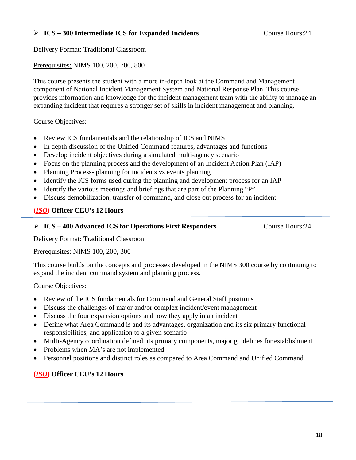#### **ICS – 300 Intermediate ICS for Expanded Incidents** Course Hours:24

Delivery Format: Traditional Classroom

#### Prerequisites: NIMS 100, 200, 700, 800

This course presents the student with a more in-depth look at the Command and Management component of National Incident Management System and National Response Plan. This course provides information and knowledge for the incident management team with the ability to manage an expanding incident that requires a stronger set of skills in incident management and planning.

#### Course Objectives:

- Review ICS fundamentals and the relationship of ICS and NIMS
- In depth discussion of the Unified Command features, advantages and functions
- Develop incident objectives during a simulated multi-agency scenario
- Focus on the planning process and the development of an Incident Action Plan (IAP)
- Planning Process- planning for incidents vs events planning
- Identify the ICS forms used during the planning and development process for an IAP
- Identify the various meetings and briefings that are part of the Planning "P"
- Discuss demobilization, transfer of command, and close out process for an incident

#### **(***ISO***) Officer CEU's 12 Hours**

#### **ICS – 400 Advanced ICS for Operations First Responders** Course Hours:24

Delivery Format: Traditional Classroom

Prerequisites: NIMS 100, 200, 300

This course builds on the concepts and processes developed in the NIMS 300 course by continuing to expand the incident command system and planning process.

#### Course Objectives:

- Review of the ICS fundamentals for Command and General Staff positions
- Discuss the challenges of major and/or complex incident/event management
- Discuss the four expansion options and how they apply in an incident
- Define what Area Command is and its advantages, organization and its six primary functional responsibilities, and application to a given scenario
- Multi-Agency coordination defined, its primary components, major guidelines for establishment
- Problems when MA's are not implemented
- Personnel positions and distinct roles as compared to Area Command and Unified Command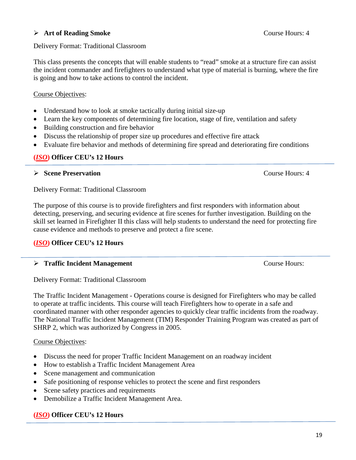#### **Art of Reading Smoke** Course Hours: 4

#### Delivery Format: Traditional Classroom

This class presents the concepts that will enable students to "read" smoke at a structure fire can assist the incident commander and firefighters to understand what type of material is burning, where the fire is going and how to take actions to control the incident.

# Course Objectives:

- Understand how to look at smoke tactically during initial size-up
- Learn the key components of determining fire location, stage of fire, ventilation and safety
- Building construction and fire behavior
- Discuss the relationship of proper size up procedures and effective fire attack
- Evaluate fire behavior and methods of determining fire spread and deteriorating fire conditions

## **(***ISO***) Officer CEU's 12 Hours**

## **Scene Preservation** Course Hours: 4

Delivery Format: Traditional Classroom

The purpose of this course is to provide firefighters and first responders with information about detecting, preserving, and securing evidence at fire scenes for further investigation. Building on the skill set learned in Firefighter II this class will help students to understand the need for protecting fire cause evidence and methods to preserve and protect a fire scene.

# **(***ISO***) Officer CEU's 12 Hours**

# **Figure 1 Starting Traffic Incident Management** Course Hours:

Delivery Format: Traditional Classroom

The Traffic Incident Management - Operations course is designed for Firefighters who may be called to operate at traffic incidents. This course will teach Firefighters how to operate in a safe and coordinated manner with other responder agencies to quickly clear traffic incidents from the roadway. The National Traffic Incident Management (TIM) Responder Training Program was created as part of SHRP 2, which was authorized by Congress in 2005.

# Course Objectives:

- Discuss the need for proper Traffic Incident Management on an roadway incident
- How to establish a Traffic Incident Management Area
- Scene management and communication
- Safe positioning of response vehicles to protect the scene and first responders
- Scene safety practices and requirements
- Demobilize a Traffic Incident Management Area.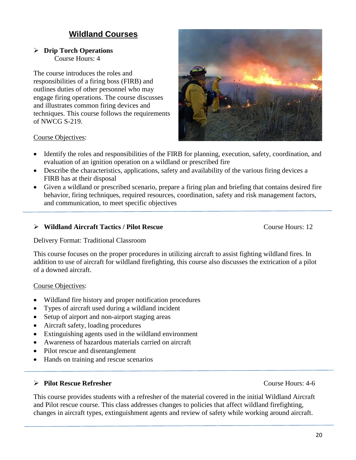# **Wildland Courses**

#### **Drip Torch Operations** Course Hours: 4

The course introduces the roles and responsibilities of a firing boss (FIRB) and outlines duties of other personnel who may engage firing operations. The course discusses and illustrates common firing devices and techniques. This course follows the requirements of NWCG S-219.



#### Course Objectives:

- Identify the roles and responsibilities of the FIRB for planning, execution, safety, coordination, and evaluation of an ignition operation on a wildland or prescribed fire
- Describe the characteristics, applications, safety and availability of the various firing devices a FIRB has at their disposal
- Given a wildland or prescribed scenario, prepare a firing plan and briefing that contains desired fire behavior, firing techniques, required resources, coordination, safety and risk management factors, and communication, to meet specific objectives

#### ▶ <b>Wildland Aierarchical</b> <b>A</b> <b>linear</b> <b>Index</b> <b>Exercise</b> <b>Exercise</b> <b>Exercise</b> <b>Exercise</b> <b>Exercise</b> <b>Exercise</b> <b>Exercise</b> <b>Exercise</b> <b>Exercise</b> <b>Exercise</b> <b>Exercise</b> <b>Exercise</b> <b>Exercise</b> <b>Exercise</b> <b>Exercise</b> <b>Exercise</b> <b>Exercise</b> <b>Exercise</b> <b>Exercise</b> <b>Exercise</b> <b>Exercise</b> <b>Exercise</b> <b>Exercise</b> <b>Exercise</b> <b>Exercise</b> <b>Exercise</b> <b>Exercise</b

Delivery Format: Traditional Classroom

This course focuses on the proper procedures in utilizing aircraft to assist fighting wildland fires. In addition to use of aircraft for wildland firefighting, this course also discusses the extrication of a pilot of a downed aircraft.

#### Course Objectives:

- Wildland fire history and proper notification procedures
- Types of aircraft used during a wildland incident
- Setup of airport and non-airport staging areas
- Aircraft safety, loading procedures
- Extinguishing agents used in the wildland environment
- Awareness of hazardous materials carried on aircraft
- Pilot rescue and disentanglement
- Hands on training and rescue scenarios

#### **Pilot Rescue Refresher** Course Hours: 4-6

This course provides students with a refresher of the material covered in the initial Wildland Aircraft and Pilot rescue course. This class addresses changes to policies that affect wildland firefighting, changes in aircraft types, extinguishment agents and review of safety while working around aircraft.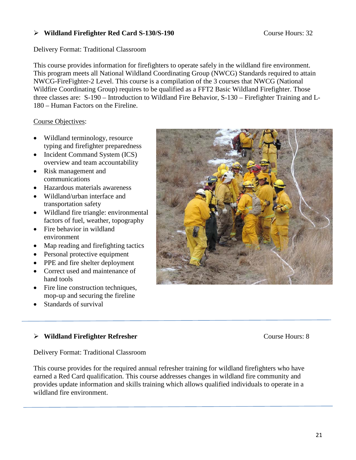#### ▶ <b>Wildland Firefox</b> <b>Refighter Red Card S-130/S-190</b> \n<p>Course Hours: 32</p>

Delivery Format: Traditional Classroom

This course provides information for firefighters to operate safely in the wildland fire environment. This program meets all National Wildland Coordinating Group (NWCG) Standards required to attain NWCG-FireFighter-2 Level. This course is a compilation of the 3 courses that NWCG (National Wildfire Coordinating Group) requires to be qualified as a FFT2 Basic Wildland Firefighter. Those three classes are: S-190 – Introduction to Wildland Fire Behavior, S-130 – Firefighter Training and L-180 – Human Factors on the Fireline.

Course Objectives:

- Wildland terminology, resource typing and firefighter preparedness
- Incident Command System (ICS) overview and team accountability
- Risk management and communications
- Hazardous materials awareness
- Wildland/urban interface and transportation safety
- Wildland fire triangle: environmental factors of fuel, weather, topography
- Fire behavior in wildland environment
- Map reading and firefighting tactics
- Personal protective equipment
- PPE and fire shelter deployment
- Correct used and maintenance of hand tools
- Fire line construction techniques, mop-up and securing the fireline
- Standards of survival

# ▶ Wildland Firefighter Refresher **Course Hours: 8**

Delivery Format: Traditional Classroom

This course provides for the required annual refresher training for wildland firefighters who have earned a Red Card qualification. This course addresses changes in wildland fire community and provides update information and skills training which allows qualified individuals to operate in a wildland fire environment.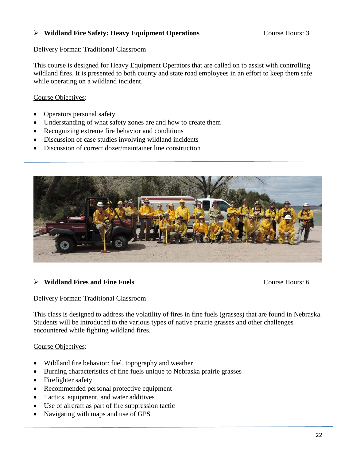#### ▶ <b>Wildland Fire Safety: Heavy Equipment Operations</b> \n<math display="inline">\triangleright</math> \n<math display="inline">\triangleright</math> \n<math display="inline">\blacksquare</math> \n<math display="inline">\blacksquare</math> \n<math display="inline">\blacksquare</math> \n<math display="inline">\blacksquare</math> \n<math display="inline">\blacksquare</math> \n<math display="inline">\blacksquare</math> \n<math display="inline">\blacksquare</math> \n<math display="inline">\blacksquare</math> \n<math display="inline">\blacksquare</math>

Delivery Format: Traditional Classroom

This course is designed for Heavy Equipment Operators that are called on to assist with controlling wildland fires. It is presented to both county and state road employees in an effort to keep them safe while operating on a wildland incident.

Course Objectives:

- Operators personal safety
- Understanding of what safety zones are and how to create them
- Recognizing extreme fire behavior and conditions
- Discussion of case studies involving wildland incidents
- Discussion of correct dozer/maintainer line construction



#### **Wildland Fires and Fine Fuels** Course Hours: 6

Delivery Format: Traditional Classroom

This class is designed to address the volatility of fires in fine fuels (grasses) that are found in Nebraska. Students will be introduced to the various types of native prairie grasses and other challenges encountered while fighting wildland fires.

#### Course Objectives:

- Wildland fire behavior: fuel, topography and weather
- Burning characteristics of fine fuels unique to Nebraska prairie grasses
- Firefighter safety
- Recommended personal protective equipment
- Tactics, equipment, and water additives
- Use of aircraft as part of fire suppression tactic
- Navigating with maps and use of GPS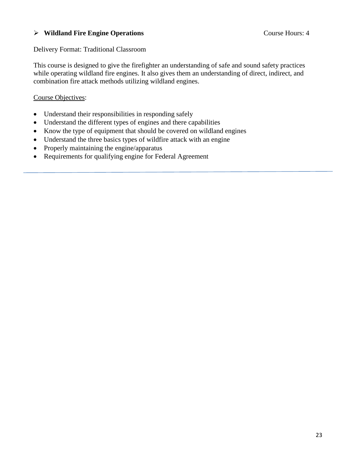#### **Wildland Fire Engine Operations** Course Hours: 4

#### Delivery Format: Traditional Classroom

This course is designed to give the firefighter an understanding of safe and sound safety practices while operating wildland fire engines. It also gives them an understanding of direct, indirect, and combination fire attack methods utilizing wildland engines.

#### Course Objectives:

- Understand their responsibilities in responding safely
- Understand the different types of engines and there capabilities
- Know the type of equipment that should be covered on wildland engines
- Understand the three basics types of wildfire attack with an engine
- Properly maintaining the engine/apparatus
- Requirements for qualifying engine for Federal Agreement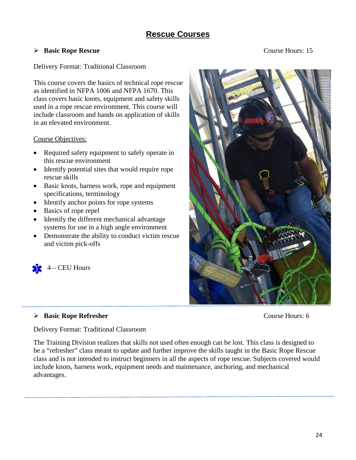# **Rescue Courses**

#### **Basic Rope Rescue** Course Hours: 15

#### Delivery Format: Traditional Classroom

This course covers the basics of technical rope rescue as identified in NFPA 1006 and NFPA 1670. This class covers basic knots, equipment and safety skills used in a rope rescue environment. This course will include classroom and hands on application of skills in an elevated environment.

#### Course Objectives:

- Required safety equipment to safely operate in this rescue environment
- Identify potential sites that would require rope rescue skills
- Basic knots, harness work, rope and equipment specifications, terminology
- Identify anchor points for rope systems
- Basics of rope repel
- Identify the different mechanical advantage systems for use in a high angle environment
- Demonstrate the ability to conduct victim rescue and victim pick-offs



## **Basic Rope Refresher** Course Hours: 6

Delivery Format: Traditional Classroom

The Training Division realizes that skills not used often enough can be lost. This class is designed to be a "refresher" class meant to update and further improve the skills taught in the Basic Rope Rescue class and is not intended to instruct beginners in all the aspects of rope rescue. Subjects covered would include knots, harness work, equipment needs and maintenance, anchoring, and mechanical advantages.

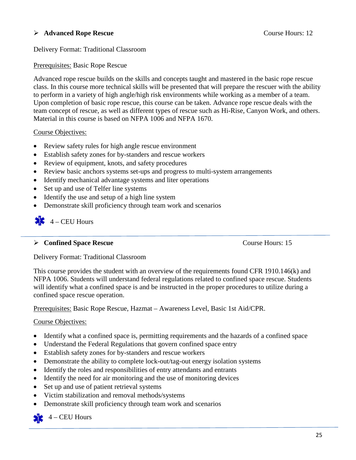#### **Advanced Rope Rescue** Course Hours: 12

#### Delivery Format: Traditional Classroom

#### Prerequisites: Basic Rope Rescue

Advanced rope rescue builds on the skills and concepts taught and mastered in the basic rope rescue class. In this course more technical skills will be presented that will prepare the rescuer with the ability to perform in a variety of high angle/high risk environments while working as a member of a team. Upon completion of basic rope rescue, this course can be taken. Advance rope rescue deals with the team concept of rescue, as well as different types of rescue such as Hi-Rise, Canyon Work, and others. Material in this course is based on NFPA 1006 and NFPA 1670.

#### Course Objectives:

- Review safety rules for high angle rescue environment
- Establish safety zones for by-standers and rescue workers
- Review of equipment, knots, and safety procedures
- Review basic anchors systems set-ups and progress to multi-system arrangements
- Identify mechanical advantage systems and liter operations
- Set up and use of Telfer line systems
- Identify the use and setup of a high line system
- Demonstrate skill proficiency through team work and scenarios

# $4 - CEU$  Hours

#### **Confined Space Rescue** Course Hours: 15

Delivery Format: Traditional Classroom

This course provides the student with an overview of the requirements found CFR 1910.146(k) and NFPA 1006. Students will understand federal regulations related to confined space rescue. Students will identify what a confined space is and be instructed in the proper procedures to utilize during a confined space rescue operation.

Prerequisites: Basic Rope Rescue, Hazmat – Awareness Level, Basic 1st Aid/CPR.

#### Course Objectives:

- Identify what a confined space is, permitting requirements and the hazards of a confined space
- Understand the Federal Regulations that govern confined space entry
- Establish safety zones for by-standers and rescue workers
- Demonstrate the ability to complete lock-out/tag-out energy isolation systems
- Identify the roles and responsibilities of entry attendants and entrants
- Identify the need for air monitoring and the use of monitoring devices
- Set up and use of patient retrieval systems
- Victim stabilization and removal methods/systems
- Demonstrate skill proficiency through team work and scenarios
- $4 CEU$  Hours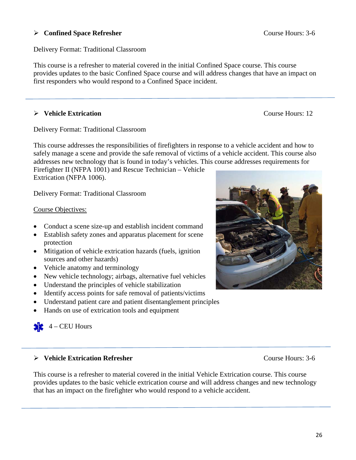#### **Confined Space Refresher** Course Hours: 3-6

Delivery Format: Traditional Classroom

This course is a refresher to material covered in the initial Confined Space course. This course provides updates to the basic Confined Space course and will address changes that have an impact on first responders who would respond to a Confined Space incident.

#### **Extrication Vehicle Extrication Course Hours:** 12

Delivery Format: Traditional Classroom

This course addresses the responsibilities of firefighters in response to a vehicle accident and how to safely manage a scene and provide the safe removal of victims of a vehicle accident. This course also addresses new technology that is found in today's vehicles. This course addresses requirements for

Firefighter II (NFPA 1001) and Rescue Technician – Vehicle Extrication (NFPA 1006).

Delivery Format: Traditional Classroom

#### Course Objectives:

- Conduct a scene size-up and establish incident command
- Establish safety zones and apparatus placement for scene protection
- Mitigation of vehicle extrication hazards (fuels, ignition sources and other hazards)
- Vehicle anatomy and terminology
- New vehicle technology; airbags, alternative fuel vehicles
- Understand the principles of vehicle stabilization
- Identify access points for safe removal of patients/victims
- Understand patient care and patient disentanglement principles
- Hands on use of extrication tools and equipment

 $4 - CEU$  Hours

#### **Vehicle Extrication Refresher** Course Hours: 3-6

This course is a refresher to material covered in the initial Vehicle Extrication course. This course provides updates to the basic vehicle extrication course and will address changes and new technology that has an impact on the firefighter who would respond to a vehicle accident.

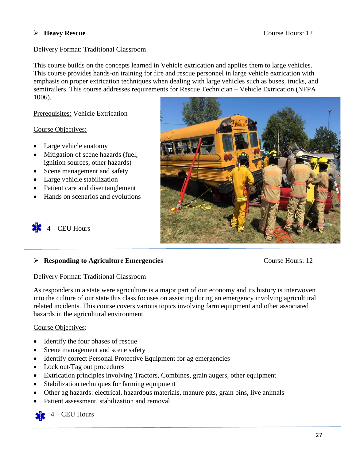#### **Heavy Rescue** Course Hours: 12

#### Delivery Format: Traditional Classroom

This course builds on the concepts learned in Vehicle extrication and applies them to large vehicles. This course provides hands-on training for fire and rescue personnel in large vehicle extrication with emphasis on proper extrication techniques when dealing with large vehicles such as buses, trucks, and semitrailers. This course addresses requirements for Rescue Technician – Vehicle Extrication (NFPA 1006).

Prerequisites: Vehicle Extrication

#### Course Objectives:

- Large vehicle anatomy
- Mitigation of scene hazards (fuel, ignition sources, other hazards)
- Scene management and safety
- Large vehicle stabilization
- Patient care and disentanglement
- Hands on scenarios and evolutions



 $4 - CEU$  Hours

#### **Responding to Agriculture Emergencies** Course Hours: 12

Delivery Format: Traditional Classroom

As responders in a state were agriculture is a major part of our economy and its history is interwoven into the culture of our state this class focuses on assisting during an emergency involving agricultural related incidents. This course covers various topics involving farm equipment and other associated hazards in the agricultural environment.

#### Course Objectives:

- Identify the four phases of rescue
- Scene management and scene safety
- Identify correct Personal Protective Equipment for ag emergencies
- Lock out/Tag out procedures
- Extrication principles involving Tractors, Combines, grain augers, other equipment
- Stabilization techniques for farming equipment
- Other ag hazards: electrical, hazardous materials, manure pits, grain bins, live animals
- Patient assessment, stabilization and removal



4 – CEU Hours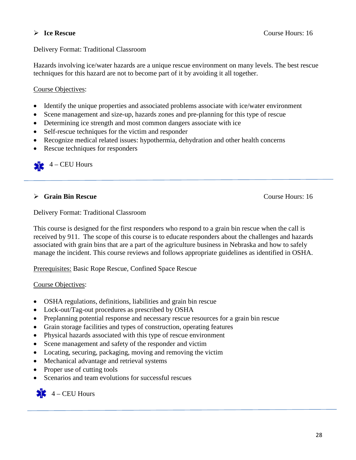#### Delivery Format: Traditional Classroom

Hazards involving ice/water hazards are a unique rescue environment on many levels. The best rescue techniques for this hazard are not to become part of it by avoiding it all together.

#### Course Objectives:

- Identify the unique properties and associated problems associate with ice/water environment
- Scene management and size-up, hazards zones and pre-planning for this type of rescue
- Determining ice strength and most common dangers associate with ice
- Self-rescue techniques for the victim and responder
- Recognize medical related issues: hypothermia, dehydration and other health concerns
- Rescue techniques for responders

4 – CEU Hours SE.

#### **Grain Bin Rescue** Course Hours: 16

Delivery Format: Traditional Classroom

This course is designed for the first responders who respond to a grain bin rescue when the call is received by 911. The scope of this course is to educate responders about the challenges and hazards associated with grain bins that are a part of the agriculture business in Nebraska and how to safely manage the incident. This course reviews and follows appropriate guidelines as identified in OSHA.

Prerequisites: Basic Rope Rescue, Confined Space Rescue

#### Course Objectives:

- OSHA regulations, definitions, liabilities and grain bin rescue
- Lock-out/Tag-out procedures as prescribed by OSHA
- Preplanning potential response and necessary rescue resources for a grain bin rescue
- Grain storage facilities and types of construction, operating features
- Physical hazards associated with this type of rescue environment
- Scene management and safety of the responder and victim
- Locating, securing, packaging, moving and removing the victim
- Mechanical advantage and retrieval systems
- Proper use of cutting tools
- Scenarios and team evolutions for successful rescues

 $4 - CEU$  Hours